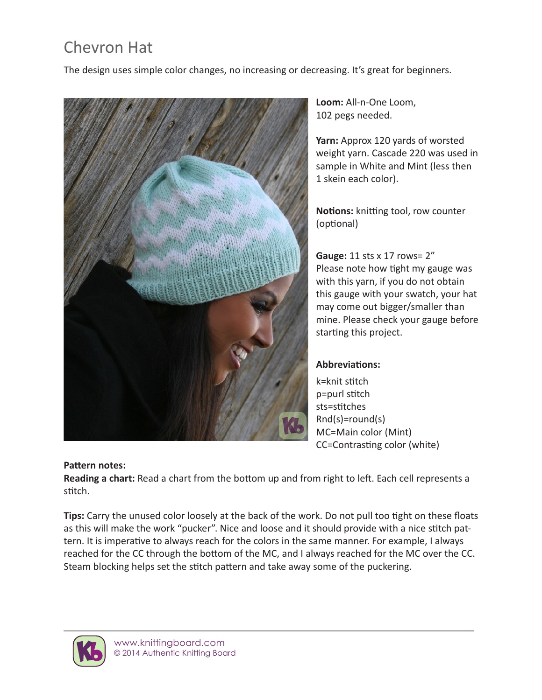## Chevron Hat

The design uses simple color changes, no increasing or decreasing. It's great for beginners.



**Loom:** All-n-One Loom, 102 pegs needed.

**Yarn:** Approx 120 yards of worsted weight yarn. Cascade 220 was used in sample in White and Mint (less then 1 skein each color).

**Notions:** knitting tool, row counter (optional)

**Gauge:** 11 sts x 17 rows= 2" Please note how tight my gauge was with this yarn, if you do not obtain this gauge with your swatch, your hat may come out bigger/smaller than mine. Please check your gauge before starting this project.

## **Abbreviations:**

k=knit stitch p=purl stitch sts=stitches Rnd(s)=round(s) MC=Main color (Mint) CC=Contrasting color (white)

## **Pattern notes:**

**Reading a chart:** Read a chart from the bottom up and from right to left. Each cell represents a stitch.

**Tips:** Carry the unused color loosely at the back of the work. Do not pull too tight on these floats as this will make the work "pucker". Nice and loose and it should provide with a nice stitch pattern. It is imperative to always reach for the colors in the same manner. For example, I always reached for the CC through the bottom of the MC, and I always reached for the MC over the CC. Steam blocking helps set the stitch pattern and take away some of the puckering.